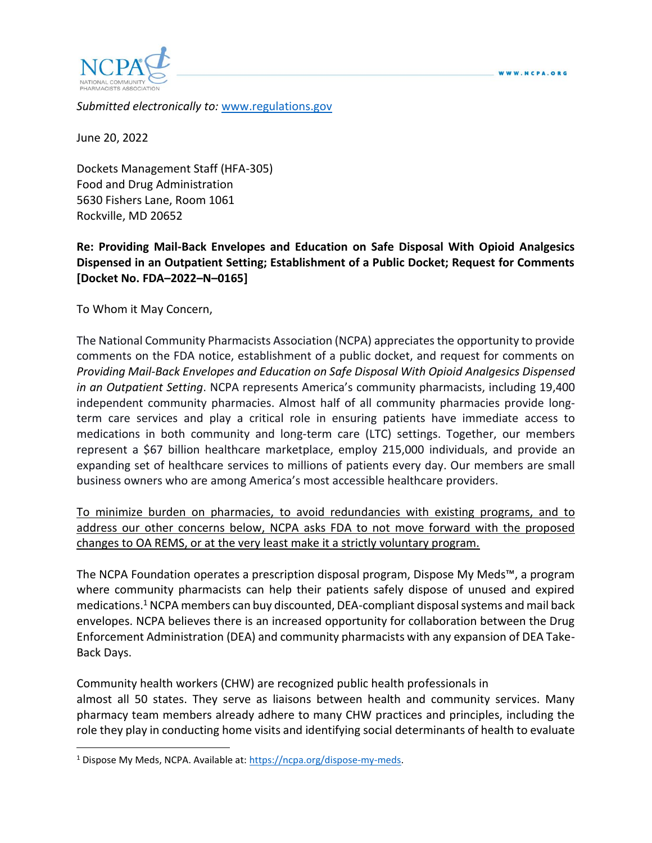



*Submitted electronically to:* [www.regulations.gov](http://www.regulations.gov/)

June 20, 2022

Dockets Management Staff (HFA-305) Food and Drug Administration 5630 Fishers Lane, Room 1061 Rockville, MD 20652

# **Re: Providing Mail-Back Envelopes and Education on Safe Disposal With Opioid Analgesics Dispensed in an Outpatient Setting; Establishment of a Public Docket; Request for Comments [Docket No. FDA–2022–N–0165]**

To Whom it May Concern,

The National Community Pharmacists Association (NCPA) appreciates the opportunity to provide comments on the FDA notice, establishment of a public docket, and request for comments on *Providing Mail-Back Envelopes and Education on Safe Disposal With Opioid Analgesics Dispensed in an Outpatient Setting*. NCPA represents America's community pharmacists, including 19,400 independent community pharmacies. Almost half of all community pharmacies provide longterm care services and play a critical role in ensuring patients have immediate access to medications in both community and long-term care (LTC) settings. Together, our members represent a \$67 billion healthcare marketplace, employ 215,000 individuals, and provide an expanding set of healthcare services to millions of patients every day. Our members are small business owners who are among America's most accessible healthcare providers.

To minimize burden on pharmacies, to avoid redundancies with existing programs, and to address our other concerns below, NCPA asks FDA to not move forward with the proposed changes to OA REMS, or at the very least make it a strictly voluntary program.

The NCPA Foundation operates a prescription disposal program, Dispose My Meds™, a program where community pharmacists can help their patients safely dispose of unused and expired medications.<sup>1</sup> NCPA members can buy discounted, DEA-compliant disposal systems and mail back envelopes. NCPA believes there is an increased opportunity for collaboration between the Drug Enforcement Administration (DEA) and community pharmacists with any expansion of DEA Take-Back Days.

Community health workers (CHW) are recognized public health professionals in almost all 50 states. They serve as liaisons between health and community services. Many pharmacy team members already adhere to many CHW practices and principles, including the role they play in conducting home visits and identifying social determinants of health to evaluate

<sup>&</sup>lt;sup>1</sup> Dispose My Meds, NCPA. Available at: [https://ncpa.org/dispose-my-meds.](https://ncpa.org/dispose-my-meds)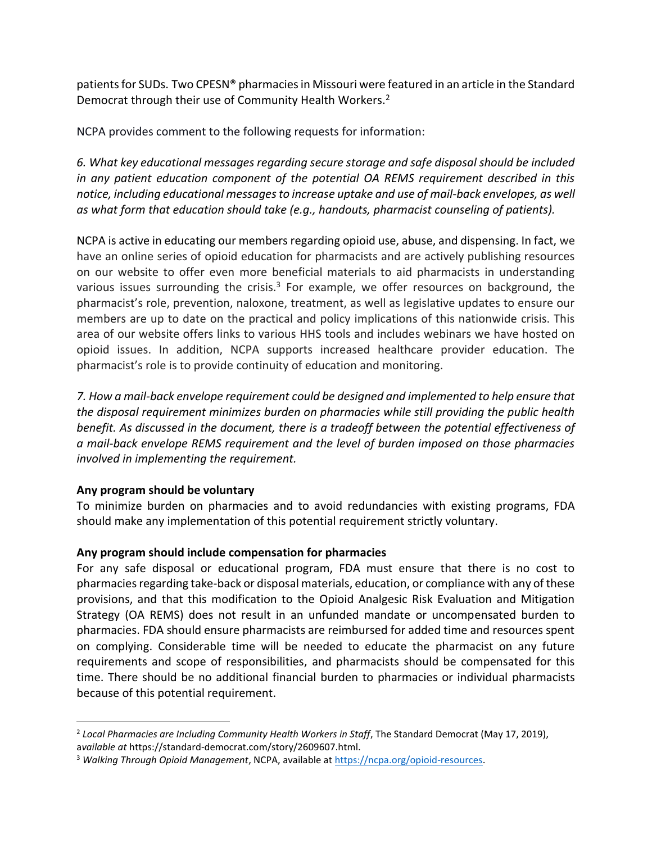patients for SUDs. Two CPESN® pharmacies in Missouri were featured in an article in the Standard Democrat through their use of Community Health Workers.<sup>2</sup>

NCPA provides comment to the following requests for information:

*6. What key educational messages regarding secure storage and safe disposal should be included in any patient education component of the potential OA REMS requirement described in this notice, including educational messages to increase uptake and use of mail-back envelopes, as well as what form that education should take (e.g., handouts, pharmacist counseling of patients).* 

NCPA is active in educating our members regarding opioid use, abuse, and dispensing. In fact, we have an online series of opioid education for pharmacists and are actively publishing resources on our website to offer even more beneficial materials to aid pharmacists in understanding various issues surrounding the crisis. $3$  For example, we offer resources on background, the pharmacist's role, prevention, naloxone, treatment, as well as legislative updates to ensure our members are up to date on the practical and policy implications of this nationwide crisis. This area of our website offers links to various HHS tools and includes webinars we have hosted on opioid issues. In addition, NCPA supports increased healthcare provider education. The pharmacist's role is to provide continuity of education and monitoring.

*7. How a mail-back envelope requirement could be designed and implemented to help ensure that the disposal requirement minimizes burden on pharmacies while still providing the public health benefit. As discussed in the document, there is a tradeoff between the potential effectiveness of a mail-back envelope REMS requirement and the level of burden imposed on those pharmacies involved in implementing the requirement.* 

## **Any program should be voluntary**

To minimize burden on pharmacies and to avoid redundancies with existing programs, FDA should make any implementation of this potential requirement strictly voluntary.

## **Any program should include compensation for pharmacies**

For any safe disposal or educational program, FDA must ensure that there is no cost to pharmacies regarding take-back or disposal materials, education, or compliance with any of these provisions, and that this modification to the Opioid Analgesic Risk Evaluation and Mitigation Strategy (OA REMS) does not result in an unfunded mandate or uncompensated burden to pharmacies. FDA should ensure pharmacists are reimbursed for added time and resources spent on complying. Considerable time will be needed to educate the pharmacist on any future requirements and scope of responsibilities, and pharmacists should be compensated for this time. There should be no additional financial burden to pharmacies or individual pharmacists because of this potential requirement.

<sup>2</sup> *Local Pharmacies are Including Community Health Workers in Staff*, The Standard Democrat (May 17, 2019), a*vailable at* https://standard-democrat.com/story/2609607.html.

<sup>3</sup> *Walking Through Opioid Management*, NCPA, available at [https://ncpa.org/opioid-resources.](https://ncpa.org/opioid-resources)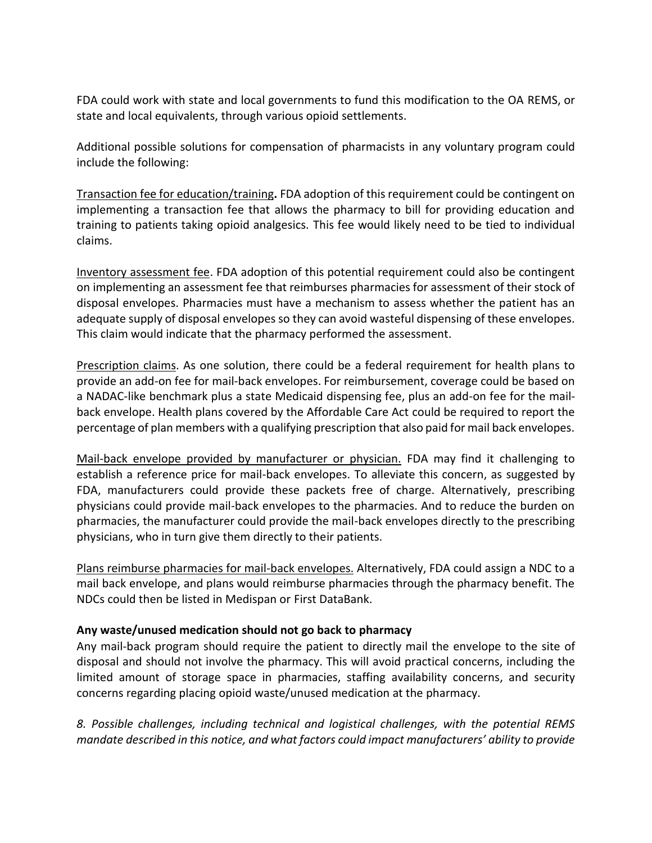FDA could work with state and local governments to fund this modification to the OA REMS, or state and local equivalents, through various opioid settlements.

Additional possible solutions for compensation of pharmacists in any voluntary program could include the following:

Transaction fee for education/training**.** FDA adoption of this requirement could be contingent on implementing a transaction fee that allows the pharmacy to bill for providing education and training to patients taking opioid analgesics. This fee would likely need to be tied to individual claims.

Inventory assessment fee. FDA adoption of this potential requirement could also be contingent on implementing an assessment fee that reimburses pharmacies for assessment of their stock of disposal envelopes. Pharmacies must have a mechanism to assess whether the patient has an adequate supply of disposal envelopes so they can avoid wasteful dispensing of these envelopes. This claim would indicate that the pharmacy performed the assessment.

Prescription claims. As one solution, there could be a federal requirement for health plans to provide an add-on fee for mail-back envelopes. For reimbursement, coverage could be based on a NADAC-like benchmark plus a state Medicaid dispensing fee, plus an add-on fee for the mailback envelope. Health plans covered by the Affordable Care Act could be required to report the percentage of plan members with a qualifying prescription that also paid for mail back envelopes.

Mail-back envelope provided by manufacturer or physician. FDA may find it challenging to establish a reference price for mail-back envelopes. To alleviate this concern, as suggested by FDA, manufacturers could provide these packets free of charge. Alternatively, prescribing physicians could provide mail-back envelopes to the pharmacies. And to reduce the burden on pharmacies, the manufacturer could provide the mail-back envelopes directly to the prescribing physicians, who in turn give them directly to their patients.

Plans reimburse pharmacies for mail-back envelopes. Alternatively, FDA could assign a NDC to a mail back envelope, and plans would reimburse pharmacies through the pharmacy benefit. The NDCs could then be listed in Medispan or First DataBank.

## **Any waste/unused medication should not go back to pharmacy**

Any mail-back program should require the patient to directly mail the envelope to the site of disposal and should not involve the pharmacy. This will avoid practical concerns, including the limited amount of storage space in pharmacies, staffing availability concerns, and security concerns regarding placing opioid waste/unused medication at the pharmacy.

*8. Possible challenges, including technical and logistical challenges, with the potential REMS mandate described in this notice, and what factors could impact manufacturers' ability to provide*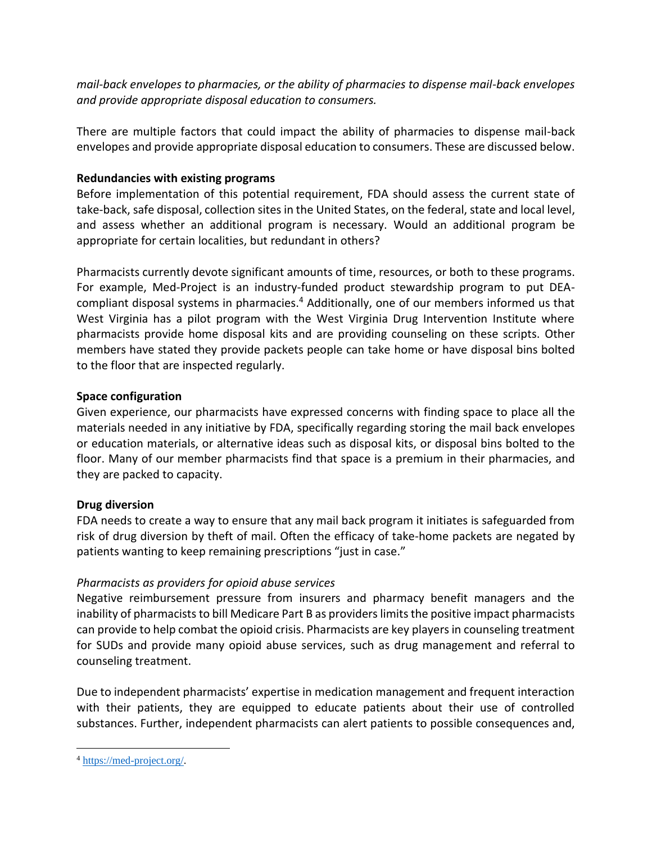*mail-back envelopes to pharmacies, or the ability of pharmacies to dispense mail-back envelopes and provide appropriate disposal education to consumers.* 

There are multiple factors that could impact the ability of pharmacies to dispense mail-back envelopes and provide appropriate disposal education to consumers. These are discussed below.

### **Redundancies with existing programs**

Before implementation of this potential requirement, FDA should assess the current state of take-back, safe disposal, collection sites in the United States, on the federal, state and local level, and assess whether an additional program is necessary. Would an additional program be appropriate for certain localities, but redundant in others?

Pharmacists currently devote significant amounts of time, resources, or both to these programs. For example, Med-Project is an industry-funded product stewardship program to put DEAcompliant disposal systems in pharmacies.<sup>4</sup> Additionally, one of our members informed us that West Virginia has a pilot program with the West Virginia Drug Intervention Institute where pharmacists provide home disposal kits and are providing counseling on these scripts. Other members have stated they provide packets people can take home or have disposal bins bolted to the floor that are inspected regularly.

#### **Space configuration**

Given experience, our pharmacists have expressed concerns with finding space to place all the materials needed in any initiative by FDA, specifically regarding storing the mail back envelopes or education materials, or alternative ideas such as disposal kits, or disposal bins bolted to the floor. Many of our member pharmacists find that space is a premium in their pharmacies, and they are packed to capacity.

## **Drug diversion**

FDA needs to create a way to ensure that any mail back program it initiates is safeguarded from risk of drug diversion by theft of mail. Often the efficacy of take-home packets are negated by patients wanting to keep remaining prescriptions "just in case."

## *Pharmacists as providers for opioid abuse services*

Negative reimbursement pressure from insurers and pharmacy benefit managers and the inability of pharmacists to bill Medicare Part B as providers limits the positive impact pharmacists can provide to help combat the opioid crisis. Pharmacists are key players in counseling treatment for SUDs and provide many opioid abuse services, such as drug management and referral to counseling treatment.

Due to independent pharmacists' expertise in medication management and frequent interaction with their patients, they are equipped to educate patients about their use of controlled substances. Further, independent pharmacists can alert patients to possible consequences and,

<sup>4</sup> [https://med-project.org/.](https://med-project.org/)